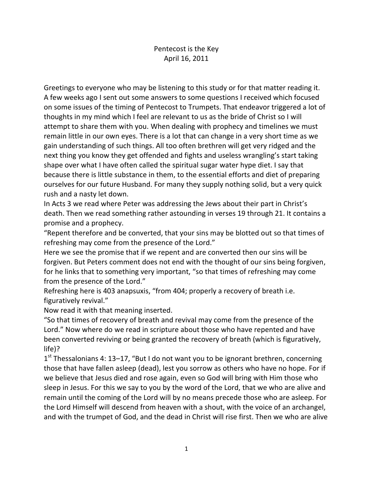## Pentecost is the Key April 16, 2011

Greetings to everyone who may be listening to this study or for that matter reading it. A few weeks ago I sent out some answers to some questions I received which focused on some issues of the timing of Pentecost to Trumpets. That endeavor triggered a lot of thoughts in my mind which I feel are relevant to us as the bride of Christ so I will attempt to share them with you. When dealing with prophecy and timelines we must remain little in our own eyes. There is a lot that can change in a very short time as we gain understanding of such things. All too often brethren will get very ridged and the next thing you know they get offended and fights and useless wrangling's start taking shape over what I have often called the spiritual sugar water hype diet. I say that because there is little substance in them, to the essential efforts and diet of preparing ourselves for our future Husband. For many they supply nothing solid, but a very quick rush and a nasty let down.

In Acts 3 we read where Peter was addressing the Jews about their part in Christ's death. Then we read something rather astounding in verses 19 through 21. It contains a promise and a prophecy.

"Repent therefore and be converted, that your sins may be blotted out so that times of refreshing may come from the presence of the Lord."

Here we see the promise that if we repent and are converted then our sins will be forgiven. But Peters comment does not end with the thought of our sins being forgiven, for he links that to something very important, "so that times of refreshing may come from the presence of the Lord."

Refreshing here is 403 anapsuxis, "from 404; properly a recovery of breath i.e. figuratively revival."

Now read it with that meaning inserted.

"So that times of recovery of breath and revival may come from the presence of the Lord." Now where do we read in scripture about those who have repented and have been converted reviving or being granted the recovery of breath (which is figuratively, life)?

1<sup>st</sup> Thessalonians 4: 13–17, "But I do not want you to be ignorant brethren, concerning those that have fallen asleep (dead), lest you sorrow as others who have no hope. For if we believe that Jesus died and rose again, even so God will bring with Him those who sleep in Jesus. For this we say to you by the word of the Lord, that we who are alive and remain until the coming of the Lord will by no means precede those who are asleep. For the Lord Himself will descend from heaven with a shout, with the voice of an archangel, and with the trumpet of God, and the dead in Christ will rise first. Then we who are alive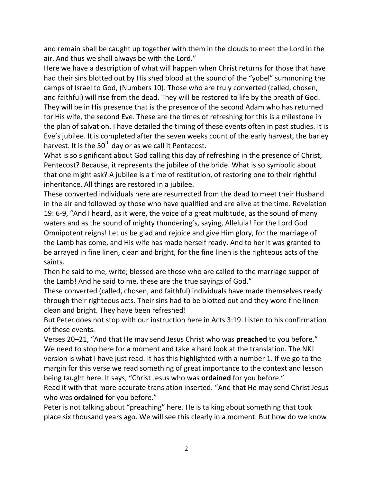and remain shall be caught up together with them in the clouds to meet the Lord in the air. And thus we shall always be with the Lord."

Here we have a description of what will happen when Christ returns for those that have had their sins blotted out by His shed blood at the sound of the "yobel" summoning the camps of Israel to God, (Numbers 10). Those who are truly converted (called, chosen, and faithful) will rise from the dead. They will be restored to life by the breath of God. They will be in His presence that is the presence of the second Adam who has returned for His wife, the second Eve. These are the times of refreshing for this is a milestone in the plan of salvation. I have detailed the timing of these events often in past studies. It is Eve's jubilee. It is completed after the seven weeks count of the early harvest, the barley harvest. It is the  $50<sup>th</sup>$  day or as we call it Pentecost.

What is so significant about God calling this day of refreshing in the presence of Christ, Pentecost? Because, it represents the jubilee of the bride. What is so symbolic about that one might ask? A jubilee is a time of restitution, of restoring one to their rightful inheritance. All things are restored in a jubilee.

These converted individuals here are resurrected from the dead to meet their Husband in the air and followed by those who have qualified and are alive at the time. Revelation 19: 6-9, "And I heard, as it were, the voice of a great multitude, as the sound of many waters and as the sound of mighty thundering's, saying, Alleluia! For the Lord God Omnipotent reigns! Let us be glad and rejoice and give Him glory, for the marriage of the Lamb has come, and His wife has made herself ready. And to her it was granted to be arrayed in fine linen, clean and bright, for the fine linen is the righteous acts of the saints.

Then he said to me, write; blessed are those who are called to the marriage supper of the Lamb! And he said to me, these are the true sayings of God."

These converted (called, chosen, and faithful) individuals have made themselves ready through their righteous acts. Their sins had to be blotted out and they wore fine linen clean and bright. They have been refreshed!

But Peter does not stop with our instruction here in Acts 3:19. Listen to his confirmation of these events.

Verses 20–21, "And that He may send Jesus Christ who was **preached** to you before." We need to stop here for a moment and take a hard look at the translation. The NKJ version is what I have just read. It has this highlighted with a number 1. If we go to the margin for this verse we read something of great importance to the context and lesson being taught here. It says, "Christ Jesus who was **ordained** for you before."

Read it with that more accurate translation inserted. "And that He may send Christ Jesus who was **ordained** for you before."

Peter is not talking about "preaching" here. He is talking about something that took place six thousand years ago. We will see this clearly in a moment. But how do we know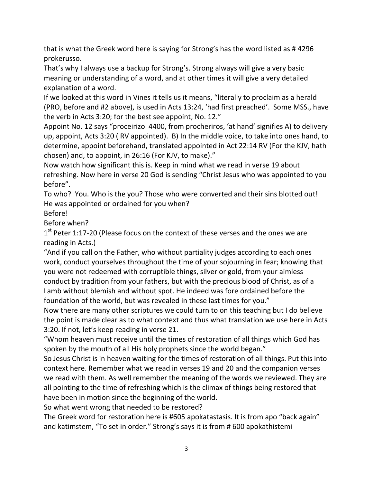that is what the Greek word here is saying for Strong's has the word listed as # 4296 prokerusso.

That's why I always use a backup for Strong's. Strong always will give a very basic meaning or understanding of a word, and at other times it will give a very detailed explanation of a word.

If we looked at this word in Vines it tells us it means, "literally to proclaim as a herald (PRO, before and #2 above), is used in Acts 13:24, 'had first preached'. Some MSS., have the verb in Acts 3:20; for the best see appoint, No. 12."

Appoint No. 12 says "proceirizo 4400, from procheriros, 'at hand' signifies A) to delivery up, appoint, Acts 3:20 ( RV appointed). B) In the middle voice, to take into ones hand, to determine, appoint beforehand, translated appointed in Act 22:14 RV (For the KJV, hath chosen) and, to appoint, in 26:16 (For KJV, to make)."

Now watch how significant this is. Keep in mind what we read in verse 19 about refreshing. Now here in verse 20 God is sending "Christ Jesus who was appointed to you before".

To who? You. Who is the you? Those who were converted and their sins blotted out! He was appointed or ordained for you when?

Before!

Before when?

1<sup>st</sup> Peter 1:17-20 (Please focus on the context of these verses and the ones we are reading in Acts.)

"And if you call on the Father, who without partiality judges according to each ones work, conduct yourselves throughout the time of your sojourning in fear; knowing that you were not redeemed with corruptible things, silver or gold, from your aimless conduct by tradition from your fathers, but with the precious blood of Christ, as of a Lamb without blemish and without spot. He indeed was fore ordained before the foundation of the world, but was revealed in these last times for you."

Now there are many other scriptures we could turn to on this teaching but I do believe the point is made clear as to what context and thus what translation we use here in Acts 3:20. If not, let's keep reading in verse 21.

"Whom heaven must receive until the times of restoration of all things which God has spoken by the mouth of all His holy prophets since the world began."

So Jesus Christ is in heaven waiting for the times of restoration of all things. Put this into context here. Remember what we read in verses 19 and 20 and the companion verses we read with them. As well remember the meaning of the words we reviewed. They are all pointing to the time of refreshing which is the climax of things being restored that have been in motion since the beginning of the world.

So what went wrong that needed to be restored?

The Greek word for restoration here is #605 apokatastasis. It is from apo "back again" and katimstem, "To set in order." Strong's says it is from # 600 apokathistemi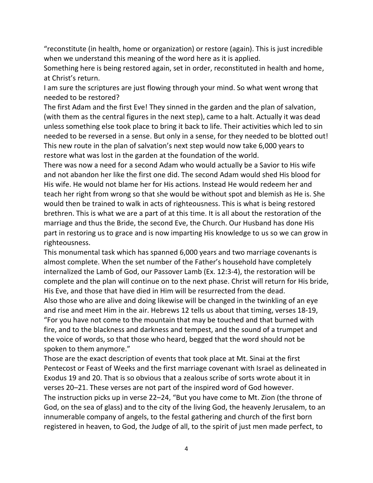"reconstitute (in health, home or organization) or restore (again). This is just incredible when we understand this meaning of the word here as it is applied.

Something here is being restored again, set in order, reconstituted in health and home, at Christ's return.

I am sure the scriptures are just flowing through your mind. So what went wrong that needed to be restored?

The first Adam and the first Eve! They sinned in the garden and the plan of salvation, (with them as the central figures in the next step), came to a halt. Actually it was dead unless something else took place to bring it back to life. Their activities which led to sin needed to be reversed in a sense. But only in a sense, for they needed to be blotted out! This new route in the plan of salvation's next step would now take 6,000 years to restore what was lost in the garden at the foundation of the world.

There was now a need for a second Adam who would actually be a Savior to His wife and not abandon her like the first one did. The second Adam would shed His blood for His wife. He would not blame her for His actions. Instead He would redeem her and teach her right from wrong so that she would be without spot and blemish as He is. She would then be trained to walk in acts of righteousness. This is what is being restored brethren. This is what we are a part of at this time. It is all about the restoration of the marriage and thus the Bride, the second Eve, the Church. Our Husband has done His part in restoring us to grace and is now imparting His knowledge to us so we can grow in righteousness.

This monumental task which has spanned 6,000 years and two marriage covenants is almost complete. When the set number of the Father's household have completely internalized the Lamb of God, our Passover Lamb (Ex. 12:3-4), the restoration will be complete and the plan will continue on to the next phase. Christ will return for His bride, His Eve, and those that have died in Him will be resurrected from the dead. Also those who are alive and doing likewise will be changed in the twinkling of an eye and rise and meet Him in the air. Hebrews 12 tells us about that timing, verses 18-19, "For you have not come to the mountain that may be touched and that burned with fire, and to the blackness and darkness and tempest, and the sound of a trumpet and the voice of words, so that those who heard, begged that the word should not be spoken to them anymore."

Those are the exact description of events that took place at Mt. Sinai at the first Pentecost or Feast of Weeks and the first marriage covenant with Israel as delineated in Exodus 19 and 20. That is so obvious that a zealous scribe of sorts wrote about it in verses 20–21. These verses are not part of the inspired word of God however. The instruction picks up in verse 22–24, "But you have come to Mt. Zion (the throne of God, on the sea of glass) and to the city of the living God, the heavenly Jerusalem, to an innumerable company of angels, to the festal gathering and church of the first born registered in heaven, to God, the Judge of all, to the spirit of just men made perfect, to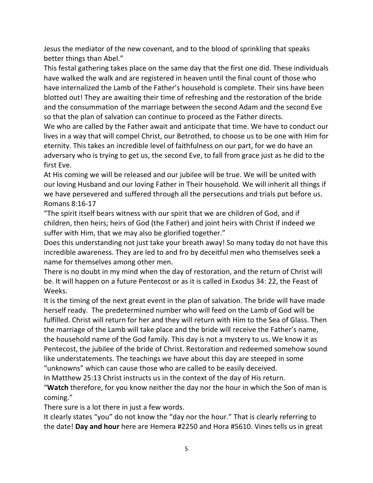Jesus the mediator of the new covenant, and to the blood of sprinkling that speaks better things than Abel."

This festal gathering takes place on the same day that the first one did. These individuals have walked the walk and are registered in heaven until the final count of those who have internalized the Lamb of the Father's household is complete. Their sins have been blotted out! They are awaiting their time of refreshing and the restoration of the bride and the consummation of the marriage between the second Adam and the second Eve so that the plan of salvation can continue to proceed as the Father directs.

We who are called by the Father await and anticipate that time. We have to conduct our lives in a way that will compel Christ, our Betrothed, to choose us to be one with Him for eternity. This takes an incredible level of faithfulness on our part, for we do have an adversary who is trying to get us, the second Eve, to fall from grace just as he did to the first Eve.

At His coming we will be released and our jubilee will be true. We will be united with our loving Husband and our loving Father in Their household. We will inherit all things if we have persevered and suffered through all the persecutions and trials put before us. Romans 8:16-17

"The spirit itself bears witness with our spirit that we are children of God, and if children, then heirs; heirs of God (the Father) and joint heirs with Christ if indeed we suffer with Him, that we may also be glorified together."

Does this understanding not just take your breath away! So many today do not have this incredible awareness. They are led to and fro by deceitful men who themselves seek a name for themselves among other men.

There is no doubt in my mind when the day of restoration, and the return of Christ will be. It will happen on a future Pentecost or as it is called in Exodus 34: 22, the Feast of Weeks.

It is the timing of the next great event in the plan of salvation. The bride will have made herself ready. The predetermined number who will feed on the Lamb of God will be fulfilled. Christ will return for her and they will return with Him to the Sea of Glass. Then the marriage of the Lamb will take place and the bride will receive the Father's name, the household name of the God family. This day is not a mystery to us. We know it as Pentecost, the jubilee of the bride of Christ. Restoration and redeemed somehow sound like understatements. The teachings we have about this day are steeped in some "unknowns" which can cause those who are called to be easily deceived.

In Matthew 25:13 Christ instructs us in the context of the day of His return.

"**Watch** therefore, for you know neither the day nor the hour in which the Son of man is coming."

There sure is a lot there in just a few words.

It clearly states "you" do not know the "day nor the hour." That is clearly referring to the date! **Day and hour** here are Hemera #2250 and Hora #5610. Vines tells us in great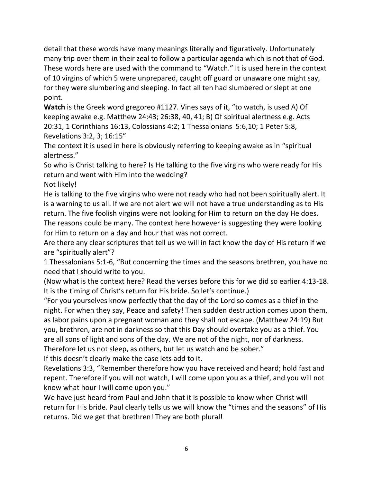detail that these words have many meanings literally and figuratively. Unfortunately many trip over them in their zeal to follow a particular agenda which is not that of God. These words here are used with the command to "Watch." It is used here in the context of 10 virgins of which 5 were unprepared, caught off guard or unaware one might say, for they were slumbering and sleeping. In fact all ten had slumbered or slept at one point.

**Watch** is the Greek word gregoreo #1127. Vines says of it, "to watch, is used A) Of keeping awake e.g. Matthew 24:43; 26:38, 40, 41; B) Of spiritual alertness e.g. Acts 20:31, 1 Corinthians 16:13, Colossians 4:2; 1 Thessalonians 5:6,10; 1 Peter 5:8, Revelations 3:2, 3; 16:15"

The context it is used in here is obviously referring to keeping awake as in "spiritual alertness."

So who is Christ talking to here? Is He talking to the five virgins who were ready for His return and went with Him into the wedding?

Not likely!

He is talking to the five virgins who were not ready who had not been spiritually alert. It is a warning to us all. If we are not alert we will not have a true understanding as to His return. The five foolish virgins were not looking for Him to return on the day He does. The reasons could be many. The context here however is suggesting they were looking for Him to return on a day and hour that was not correct.

Are there any clear scriptures that tell us we will in fact know the day of His return if we are "spiritually alert"?

1 Thessalonians 5:1-6, "But concerning the times and the seasons brethren, you have no need that I should write to you.

(Now what is the context here? Read the verses before this for we did so earlier 4:13-18. It is the timing of Christ's return for His bride. So let's continue.)

"For you yourselves know perfectly that the day of the Lord so comes as a thief in the night. For when they say, Peace and safety! Then sudden destruction comes upon them, as labor pains upon a pregnant woman and they shall not escape. (Matthew 24:19) But you, brethren, are not in darkness so that this Day should overtake you as a thief. You are all sons of light and sons of the day. We are not of the night, nor of darkness.

Therefore let us not sleep, as others, but let us watch and be sober."

If this doesn't clearly make the case lets add to it.

Revelations 3:3, "Remember therefore how you have received and heard; hold fast and repent. Therefore if you will not watch, I will come upon you as a thief, and you will not know what hour I will come upon you."

We have just heard from Paul and John that it is possible to know when Christ will return for His bride. Paul clearly tells us we will know the "times and the seasons" of His returns. Did we get that brethren! They are both plural!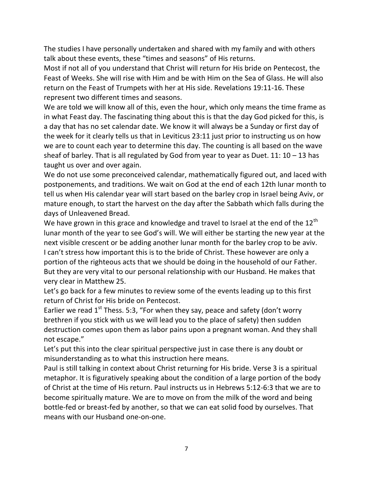The studies I have personally undertaken and shared with my family and with others talk about these events, these "times and seasons" of His returns.

Most if not all of you understand that Christ will return for His bride on Pentecost, the Feast of Weeks. She will rise with Him and be with Him on the Sea of Glass. He will also return on the Feast of Trumpets with her at His side. Revelations 19:11-16. These represent two different times and seasons.

We are told we will know all of this, even the hour, which only means the time frame as in what Feast day. The fascinating thing about this is that the day God picked for this, is a day that has no set calendar date. We know it will always be a Sunday or first day of the week for it clearly tells us that in Leviticus 23:11 just prior to instructing us on how we are to count each year to determine this day. The counting is all based on the wave sheaf of barley. That is all regulated by God from year to year as Duet.  $11: 10 - 13$  has taught us over and over again.

We do not use some preconceived calendar, mathematically figured out, and laced with postponements, and traditions. We wait on God at the end of each 12th lunar month to tell us when His calendar year will start based on the barley crop in Israel being Aviv, or mature enough, to start the harvest on the day after the Sabbath which falls during the days of Unleavened Bread.

We have grown in this grace and knowledge and travel to Israel at the end of the  $12<sup>th</sup>$ lunar month of the year to see God's will. We will either be starting the new year at the next visible crescent or be adding another lunar month for the barley crop to be aviv. I can't stress how important this is to the bride of Christ. These however are only a portion of the righteous acts that we should be doing in the household of our Father. But they are very vital to our personal relationship with our Husband. He makes that very clear in Matthew 25.

Let's go back for a few minutes to review some of the events leading up to this first return of Christ for His bride on Pentecost.

Earlier we read  $1^{st}$  Thess. 5:3, "For when they say, peace and safety (don't worry brethren if you stick with us we will lead you to the place of safety) then sudden destruction comes upon them as labor pains upon a pregnant woman. And they shall not escape."

Let's put this into the clear spiritual perspective just in case there is any doubt or misunderstanding as to what this instruction here means.

Paul is still talking in context about Christ returning for His bride. Verse 3 is a spiritual metaphor. It is figuratively speaking about the condition of a large portion of the body of Christ at the time of His return. Paul instructs us in Hebrews 5:12-6:3 that we are to become spiritually mature. We are to move on from the milk of the word and being bottle-fed or breast-fed by another, so that we can eat solid food by ourselves. That means with our Husband one-on-one.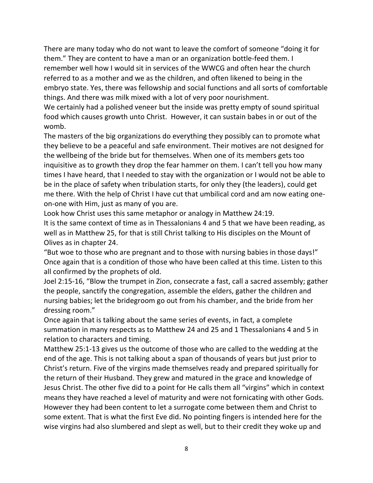There are many today who do not want to leave the comfort of someone "doing it for them." They are content to have a man or an organization bottle-feed them. I remember well how I would sit in services of the WWCG and often hear the church referred to as a mother and we as the children, and often likened to being in the embryo state. Yes, there was fellowship and social functions and all sorts of comfortable things. And there was milk mixed with a lot of very poor nourishment.

We certainly had a polished veneer but the inside was pretty empty of sound spiritual food which causes growth unto Christ. However, it can sustain babes in or out of the womb.

The masters of the big organizations do everything they possibly can to promote what they believe to be a peaceful and safe environment. Their motives are not designed for the wellbeing of the bride but for themselves. When one of its members gets too inquisitive as to growth they drop the fear hammer on them. I can't tell you how many times I have heard, that I needed to stay with the organization or I would not be able to be in the place of safety when tribulation starts, for only they (the leaders), could get me there. With the help of Christ I have cut that umbilical cord and am now eating oneon-one with Him, just as many of you are.

Look how Christ uses this same metaphor or analogy in Matthew 24:19.

It is the same context of time as in Thessalonians 4 and 5 that we have been reading, as well as in Matthew 25, for that is still Christ talking to His disciples on the Mount of Olives as in chapter 24.

"But woe to those who are pregnant and to those with nursing babies in those days!" Once again that is a condition of those who have been called at this time. Listen to this all confirmed by the prophets of old.

Joel 2:15-16, "Blow the trumpet in Zion, consecrate a fast, call a sacred assembly; gather the people, sanctify the congregation, assemble the elders, gather the children and nursing babies; let the bridegroom go out from his chamber, and the bride from her dressing room."

Once again that is talking about the same series of events, in fact, a complete summation in many respects as to Matthew 24 and 25 and 1 Thessalonians 4 and 5 in relation to characters and timing.

Matthew 25:1-13 gives us the outcome of those who are called to the wedding at the end of the age. This is not talking about a span of thousands of years but just prior to Christ's return. Five of the virgins made themselves ready and prepared spiritually for the return of their Husband. They grew and matured in the grace and knowledge of Jesus Christ. The other five did to a point for He calls them all "virgins" which in context means they have reached a level of maturity and were not fornicating with other Gods. However they had been content to let a surrogate come between them and Christ to some extent. That is what the first Eve did. No pointing fingers is intended here for the wise virgins had also slumbered and slept as well, but to their credit they woke up and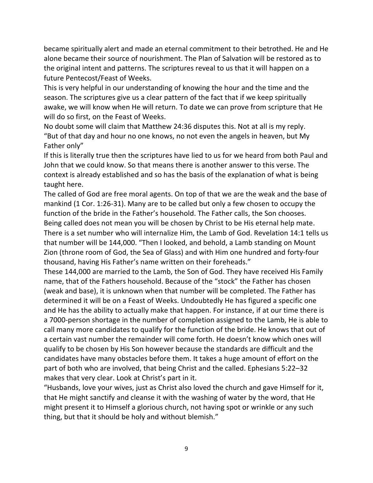became spiritually alert and made an eternal commitment to their betrothed. He and He alone became their source of nourishment. The Plan of Salvation will be restored as to the original intent and patterns. The scriptures reveal to us that it will happen on a future Pentecost/Feast of Weeks.

This is very helpful in our understanding of knowing the hour and the time and the season. The scriptures give us a clear pattern of the fact that if we keep spiritually awake, we will know when He will return. To date we can prove from scripture that He will do so first, on the Feast of Weeks.

No doubt some will claim that Matthew 24:36 disputes this. Not at all is my reply. "But of that day and hour no one knows, no not even the angels in heaven, but My Father only"

If this is literally true then the scriptures have lied to us for we heard from both Paul and John that we could know. So that means there is another answer to this verse. The context is already established and so has the basis of the explanation of what is being taught here.

The called of God are free moral agents. On top of that we are the weak and the base of mankind (1 Cor. 1:26-31). Many are to be called but only a few chosen to occupy the function of the bride in the Father's household. The Father calls, the Son chooses. Being called does not mean you will be chosen by Christ to be His eternal help mate. There is a set number who will internalize Him, the Lamb of God. Revelation 14:1 tells us that number will be 144,000. "Then I looked, and behold, a Lamb standing on Mount Zion (throne room of God, the Sea of Glass) and with Him one hundred and forty-four thousand, having His Father's name written on their foreheads."

These 144,000 are married to the Lamb, the Son of God. They have received His Family name, that of the Fathers household. Because of the "stock" the Father has chosen (weak and base), it is unknown when that number will be completed. The Father has determined it will be on a Feast of Weeks. Undoubtedly He has figured a specific one and He has the ability to actually make that happen. For instance, if at our time there is a 7000-person shortage in the number of completion assigned to the Lamb, He is able to call many more candidates to qualify for the function of the bride. He knows that out of a certain vast number the remainder will come forth. He doesn't know which ones will qualify to be chosen by His Son however because the standards are difficult and the candidates have many obstacles before them. It takes a huge amount of effort on the part of both who are involved, that being Christ and the called. Ephesians 5:22–32 makes that very clear. Look at Christ's part in it.

"Husbands, love your wives, just as Christ also loved the church and gave Himself for it, that He might sanctify and cleanse it with the washing of water by the word, that He might present it to Himself a glorious church, not having spot or wrinkle or any such thing, but that it should be holy and without blemish."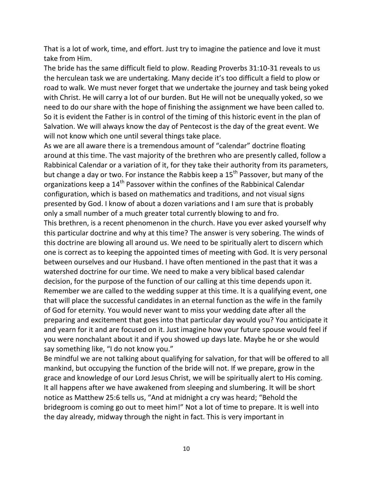That is a lot of work, time, and effort. Just try to imagine the patience and love it must take from Him.

The bride has the same difficult field to plow. Reading Proverbs 31:10-31 reveals to us the herculean task we are undertaking. Many decide it's too difficult a field to plow or road to walk. We must never forget that we undertake the journey and task being yoked with Christ. He will carry a lot of our burden. But He will not be unequally yoked, so we need to do our share with the hope of finishing the assignment we have been called to. So it is evident the Father is in control of the timing of this historic event in the plan of Salvation. We will always know the day of Pentecost is the day of the great event. We will not know which one until several things take place.

As we are all aware there is a tremendous amount of "calendar" doctrine floating around at this time. The vast majority of the brethren who are presently called, follow a Rabbinical Calendar or a variation of it, for they take their authority from its parameters, but change a day or two. For instance the Rabbis keep a 15<sup>th</sup> Passover, but many of the organizations keep a  $14<sup>th</sup>$  Passover within the confines of the Rabbinical Calendar configuration, which is based on mathematics and traditions, and not visual signs presented by God. I know of about a dozen variations and I am sure that is probably only a small number of a much greater total currently blowing to and fro.

This brethren, is a recent phenomenon in the church. Have you ever asked yourself why this particular doctrine and why at this time? The answer is very sobering. The winds of this doctrine are blowing all around us. We need to be spiritually alert to discern which one is correct as to keeping the appointed times of meeting with God. It is very personal between ourselves and our Husband. I have often mentioned in the past that it was a watershed doctrine for our time. We need to make a very biblical based calendar decision, for the purpose of the function of our calling at this time depends upon it. Remember we are called to the wedding supper at this time. It is a qualifying event, one that will place the successful candidates in an eternal function as the wife in the family of God for eternity. You would never want to miss your wedding date after all the preparing and excitement that goes into that particular day would you? You anticipate it and yearn for it and are focused on it. Just imagine how your future spouse would feel if you were nonchalant about it and if you showed up days late. Maybe he or she would say something like, "I do not know you."

Be mindful we are not talking about qualifying for salvation, for that will be offered to all mankind, but occupying the function of the bride will not. If we prepare, grow in the grace and knowledge of our Lord Jesus Christ, we will be spiritually alert to His coming. It all happens after we have awakened from sleeping and slumbering. It will be short notice as Matthew 25:6 tells us, "And at midnight a cry was heard; "Behold the bridegroom is coming go out to meet him!" Not a lot of time to prepare. It is well into the day already, midway through the night in fact. This is very important in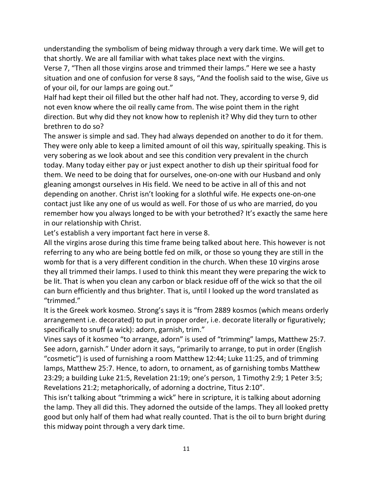understanding the symbolism of being midway through a very dark time. We will get to that shortly. We are all familiar with what takes place next with the virgins.

Verse 7, "Then all those virgins arose and trimmed their lamps." Here we see a hasty situation and one of confusion for verse 8 says, "And the foolish said to the wise, Give us of your oil, for our lamps are going out."

Half had kept their oil filled but the other half had not. They, according to verse 9, did not even know where the oil really came from. The wise point them in the right direction. But why did they not know how to replenish it? Why did they turn to other brethren to do so?

The answer is simple and sad. They had always depended on another to do it for them. They were only able to keep a limited amount of oil this way, spiritually speaking. This is very sobering as we look about and see this condition very prevalent in the church today. Many today either pay or just expect another to dish up their spiritual food for them. We need to be doing that for ourselves, one-on-one with our Husband and only gleaning amongst ourselves in His field. We need to be active in all of this and not depending on another. Christ isn't looking for a slothful wife. He expects one-on-one contact just like any one of us would as well. For those of us who are married, do you remember how you always longed to be with your betrothed? It's exactly the same here in our relationship with Christ.

Let's establish a very important fact here in verse 8.

All the virgins arose during this time frame being talked about here. This however is not referring to any who are being bottle fed on milk, or those so young they are still in the womb for that is a very different condition in the church. When these 10 virgins arose they all trimmed their lamps. I used to think this meant they were preparing the wick to be lit. That is when you clean any carbon or black residue off of the wick so that the oil can burn efficiently and thus brighter. That is, until I looked up the word translated as "trimmed."

It is the Greek work kosmeo. Strong's says it is "from 2889 kosmos (which means orderly arrangement i.e. decorated) to put in proper order, i.e. decorate literally or figuratively; specifically to snuff (a wick): adorn, garnish, trim."

Vines says of it kosmeo "to arrange, adorn" is used of "trimming" lamps, Matthew 25:7. See adorn, garnish." Under adorn it says, "primarily to arrange, to put in order (English "cosmetic") is used of furnishing a room Matthew 12:44; Luke 11:25, and of trimming lamps, Matthew 25:7. Hence, to adorn, to ornament, as of garnishing tombs Matthew 23:29; a building Luke 21:5, Revelation 21:19; one's person, 1 Timothy 2:9; 1 Peter 3:5; Revelations 21:2; metaphorically, of adorning a doctrine, Titus 2:10".

This isn't talking about "trimming a wick" here in scripture, it is talking about adorning the lamp. They all did this. They adorned the outside of the lamps. They all looked pretty good but only half of them had what really counted. That is the oil to burn bright during this midway point through a very dark time.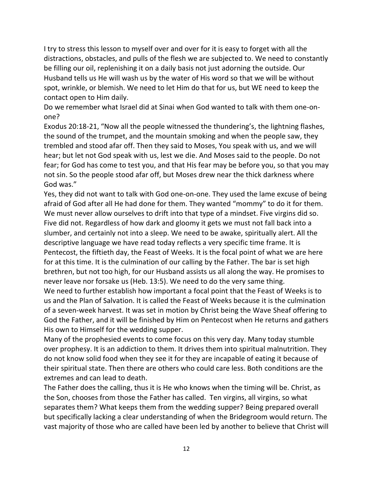I try to stress this lesson to myself over and over for it is easy to forget with all the distractions, obstacles, and pulls of the flesh we are subjected to. We need to constantly be filling our oil, replenishing it on a daily basis not just adorning the outside. Our Husband tells us He will wash us by the water of His word so that we will be without spot, wrinkle, or blemish. We need to let Him do that for us, but WE need to keep the contact open to Him daily.

Do we remember what Israel did at Sinai when God wanted to talk with them one-onone?

Exodus 20:18-21, "Now all the people witnessed the thundering's, the lightning flashes, the sound of the trumpet, and the mountain smoking and when the people saw, they trembled and stood afar off. Then they said to Moses, You speak with us, and we will hear; but let not God speak with us, lest we die. And Moses said to the people. Do not fear; for God has come to test you, and that His fear may be before you, so that you may not sin. So the people stood afar off, but Moses drew near the thick darkness where God was."

Yes, they did not want to talk with God one-on-one. They used the lame excuse of being afraid of God after all He had done for them. They wanted "mommy" to do it for them. We must never allow ourselves to drift into that type of a mindset. Five virgins did so. Five did not. Regardless of how dark and gloomy it gets we must not fall back into a slumber, and certainly not into a sleep. We need to be awake, spiritually alert. All the descriptive language we have read today reflects a very specific time frame. It is Pentecost, the fiftieth day, the Feast of Weeks. It is the focal point of what we are here for at this time. It is the culmination of our calling by the Father. The bar is set high brethren, but not too high, for our Husband assists us all along the way. He promises to never leave nor forsake us (Heb. 13:5). We need to do the very same thing.

We need to further establish how important a focal point that the Feast of Weeks is to us and the Plan of Salvation. It is called the Feast of Weeks because it is the culmination of a seven-week harvest. It was set in motion by Christ being the Wave Sheaf offering to God the Father, and it will be finished by Him on Pentecost when He returns and gathers His own to Himself for the wedding supper.

Many of the prophesied events to come focus on this very day. Many today stumble over prophesy. It is an addiction to them. It drives them into spiritual malnutrition. They do not know solid food when they see it for they are incapable of eating it because of their spiritual state. Then there are others who could care less. Both conditions are the extremes and can lead to death.

The Father does the calling, thus it is He who knows when the timing will be. Christ, as the Son, chooses from those the Father has called. Ten virgins, all virgins, so what separates them? What keeps them from the wedding supper? Being prepared overall but specifically lacking a clear understanding of when the Bridegroom would return. The vast majority of those who are called have been led by another to believe that Christ will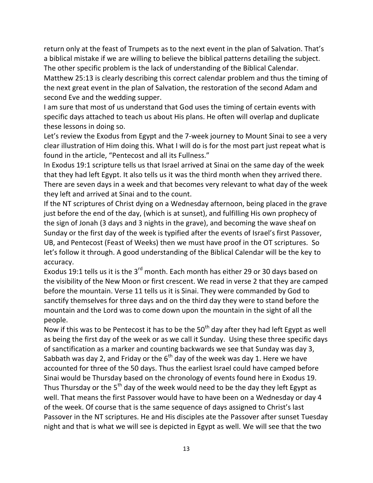return only at the feast of Trumpets as to the next event in the plan of Salvation. That's a biblical mistake if we are willing to believe the biblical patterns detailing the subject. The other specific problem is the lack of understanding of the Biblical Calendar.

Matthew 25:13 is clearly describing this correct calendar problem and thus the timing of the next great event in the plan of Salvation, the restoration of the second Adam and second Eve and the wedding supper.

I am sure that most of us understand that God uses the timing of certain events with specific days attached to teach us about His plans. He often will overlap and duplicate these lessons in doing so.

Let's review the Exodus from Egypt and the 7-week journey to Mount Sinai to see a very clear illustration of Him doing this. What I will do is for the most part just repeat what is found in the article, "Pentecost and all its Fullness."

In Exodus 19:1 scripture tells us that Israel arrived at Sinai on the same day of the week that they had left Egypt. It also tells us it was the third month when they arrived there. There are seven days in a week and that becomes very relevant to what day of the week they left and arrived at Sinai and to the count.

If the NT scriptures of Christ dying on a Wednesday afternoon, being placed in the grave just before the end of the day, (which is at sunset), and fulfilling His own prophecy of the sign of Jonah (3 days and 3 nights in the grave), and becoming the wave sheaf on Sunday or the first day of the week is typified after the events of Israel's first Passover, UB, and Pentecost (Feast of Weeks) then we must have proof in the OT scriptures. So let's follow it through. A good understanding of the Biblical Calendar will be the key to accuracy.

Exodus 19:1 tells us it is the 3<sup>rd</sup> month. Each month has either 29 or 30 days based on the visibility of the New Moon or first crescent. We read in verse 2 that they are camped before the mountain. Verse 11 tells us it is Sinai. They were commanded by God to sanctify themselves for three days and on the third day they were to stand before the mountain and the Lord was to come down upon the mountain in the sight of all the people.

Now if this was to be Pentecost it has to be the  $50<sup>th</sup>$  day after they had left Egypt as well as being the first day of the week or as we call it Sunday. Using these three specific days of sanctification as a marker and counting backwards we see that Sunday was day 3, Sabbath was day 2, and Friday or the  $6<sup>th</sup>$  day of the week was day 1. Here we have accounted for three of the 50 days. Thus the earliest Israel could have camped before Sinai would be Thursday based on the chronology of events found here in Exodus 19. Thus Thursday or the  $5<sup>th</sup>$  day of the week would need to be the day they left Egypt as well. That means the first Passover would have to have been on a Wednesday or day 4 of the week. Of course that is the same sequence of days assigned to Christ's last Passover in the NT scriptures. He and His disciples ate the Passover after sunset Tuesday night and that is what we will see is depicted in Egypt as well. We will see that the two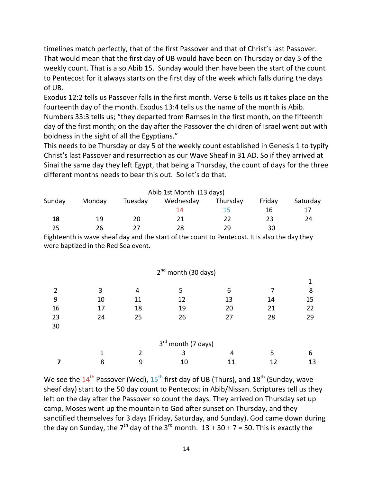timelines match perfectly, that of the first Passover and that of Christ's last Passover. That would mean that the first day of UB would have been on Thursday or day 5 of the weekly count. That is also Abib 15. Sunday would then have been the start of the count to Pentecost for it always starts on the first day of the week which falls during the days of UB.

Exodus 12:2 tells us Passover falls in the first month. Verse 6 tells us it takes place on the fourteenth day of the month. Exodus 13:4 tells us the name of the month is Abib.

Numbers 33:3 tells us; "they departed from Ramses in the first month, on the fifteenth day of the first month; on the day after the Passover the children of Israel went out with boldness in the sight of all the Egyptians."

This needs to be Thursday or day 5 of the weekly count established in Genesis 1 to typify Christ's last Passover and resurrection as our Wave Sheaf in 31 AD. So if they arrived at Sinai the same day they left Egypt, that being a Thursday, the count of days for the three different months needs to bear this out. So let's do that.

| Abib 1st Month (13 days) |        |         |           |          |        |          |  |  |  |  |  |
|--------------------------|--------|---------|-----------|----------|--------|----------|--|--|--|--|--|
| Sunday                   | Monday | Tuesday | Wednesday | Thursday | Friday | Saturday |  |  |  |  |  |
|                          |        |         | 14        | 15.      | 16     |          |  |  |  |  |  |
| 18                       | 19     | 20      | 21        | 22       | 23     | 24       |  |  |  |  |  |
| 25                       | 26     |         | 28        | 29       | 30     |          |  |  |  |  |  |

Eighteenth is wave sheaf day and the start of the count to Pentecost. It is also the day they were baptized in the Red Sea event.

|    |    |    | $2nd$ month (30 days)          |    |    |    |
|----|----|----|--------------------------------|----|----|----|
|    |    |    |                                |    |    |    |
| 2  | 3  | 4  | 5                              | 6  |    | 8  |
| 9  | 10 | 11 | 12                             | 13 | 14 | 15 |
| 16 | 17 | 18 | 19                             | 20 | 21 | 22 |
| 23 | 24 | 25 | 26                             | 27 | 28 | 29 |
| 30 |    |    |                                |    |    |    |
|    |    |    |                                |    |    |    |
|    |    |    | 3 <sup>rd</sup> month (7 days) |    |    |    |
|    |    | 2  | 3                              | 4  | 5  | 6  |
|    | 8  | 9  | 10                             | 11 | 12 | 13 |

We see the  $14^{\text{th}}$  Passover (Wed),  $15^{\text{th}}$  first day of UB (Thurs), and  $18^{\text{th}}$  (Sunday, wave sheaf day) start to the 50 day count to Pentecost in Abib/Nissan. Scriptures tell us they left on the day after the Passover so count the days. They arrived on Thursday set up camp, Moses went up the mountain to God after sunset on Thursday, and they sanctified themselves for 3 days (Friday, Saturday, and Sunday). God came down during the day on Sunday, the  $7<sup>th</sup>$  day of the 3<sup>rd</sup> month.  $13 + 30 + 7 = 50$ . This is exactly the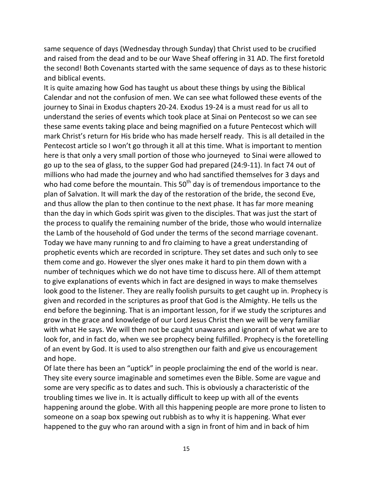same sequence of days (Wednesday through Sunday) that Christ used to be crucified and raised from the dead and to be our Wave Sheaf offering in 31 AD. The first foretold the second! Both Covenants started with the same sequence of days as to these historic and biblical events.

It is quite amazing how God has taught us about these things by using the Biblical Calendar and not the confusion of men. We can see what followed these events of the journey to Sinai in Exodus chapters 20-24. Exodus 19-24 is a must read for us all to understand the series of events which took place at Sinai on Pentecost so we can see these same events taking place and being magnified on a future Pentecost which will mark Christ's return for His bride who has made herself ready. This is all detailed in the Pentecost article so I won't go through it all at this time. What is important to mention here is that only a very small portion of those who journeyed to Sinai were allowed to go up to the sea of glass, to the supper God had prepared (24:9-11). In fact 74 out of millions who had made the journey and who had sanctified themselves for 3 days and who had come before the mountain. This  $50<sup>th</sup>$  day is of tremendous importance to the plan of Salvation. It will mark the day of the restoration of the bride, the second Eve, and thus allow the plan to then continue to the next phase. It has far more meaning than the day in which Gods spirit was given to the disciples. That was just the start of the process to qualify the remaining number of the bride, those who would internalize the Lamb of the household of God under the terms of the second marriage covenant. Today we have many running to and fro claiming to have a great understanding of prophetic events which are recorded in scripture. They set dates and such only to see them come and go. However the slyer ones make it hard to pin them down with a number of techniques which we do not have time to discuss here. All of them attempt to give explanations of events which in fact are designed in ways to make themselves look good to the listener. They are really foolish pursuits to get caught up in. Prophecy is given and recorded in the scriptures as proof that God is the Almighty. He tells us the end before the beginning. That is an important lesson, for if we study the scriptures and grow in the grace and knowledge of our Lord Jesus Christ then we will be very familiar with what He says. We will then not be caught unawares and ignorant of what we are to look for, and in fact do, when we see prophecy being fulfilled. Prophecy is the foretelling of an event by God. It is used to also strengthen our faith and give us encouragement and hope.

Of late there has been an "uptick" in people proclaiming the end of the world is near. They site every source imaginable and sometimes even the Bible. Some are vague and some are very specific as to dates and such. This is obviously a characteristic of the troubling times we live in. It is actually difficult to keep up with all of the events happening around the globe. With all this happening people are more prone to listen to someone on a soap box spewing out rubbish as to why it is happening. What ever happened to the guy who ran around with a sign in front of him and in back of him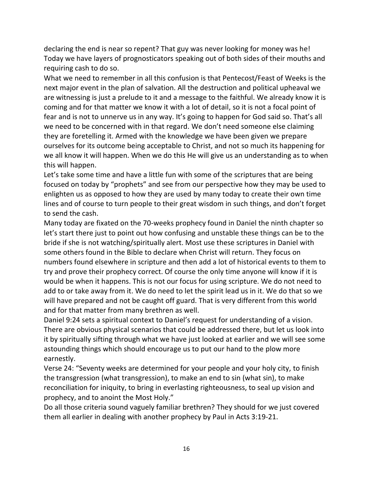declaring the end is near so repent? That guy was never looking for money was he! Today we have layers of prognosticators speaking out of both sides of their mouths and requiring cash to do so.

What we need to remember in all this confusion is that Pentecost/Feast of Weeks is the next major event in the plan of salvation. All the destruction and political upheaval we are witnessing is just a prelude to it and a message to the faithful. We already know it is coming and for that matter we know it with a lot of detail, so it is not a focal point of fear and is not to unnerve us in any way. It's going to happen for God said so. That's all we need to be concerned with in that regard. We don't need someone else claiming they are foretelling it. Armed with the knowledge we have been given we prepare ourselves for its outcome being acceptable to Christ, and not so much its happening for we all know it will happen. When we do this He will give us an understanding as to when this will happen.

Let's take some time and have a little fun with some of the scriptures that are being focused on today by "prophets" and see from our perspective how they may be used to enlighten us as opposed to how they are used by many today to create their own time lines and of course to turn people to their great wisdom in such things, and don't forget to send the cash.

Many today are fixated on the 70-weeks prophecy found in Daniel the ninth chapter so let's start there just to point out how confusing and unstable these things can be to the bride if she is not watching/spiritually alert. Most use these scriptures in Daniel with some others found in the Bible to declare when Christ will return. They focus on numbers found elsewhere in scripture and then add a lot of historical events to them to try and prove their prophecy correct. Of course the only time anyone will know if it is would be when it happens. This is not our focus for using scripture. We do not need to add to or take away from it. We do need to let the spirit lead us in it. We do that so we will have prepared and not be caught off guard. That is very different from this world and for that matter from many brethren as well.

Daniel 9:24 sets a spiritual context to Daniel's request for understanding of a vision. There are obvious physical scenarios that could be addressed there, but let us look into it by spiritually sifting through what we have just looked at earlier and we will see some astounding things which should encourage us to put our hand to the plow more earnestly.

Verse 24: "Seventy weeks are determined for your people and your holy city, to finish the transgression (what transgression), to make an end to sin (what sin), to make reconciliation for iniquity, to bring in everlasting righteousness, to seal up vision and prophecy, and to anoint the Most Holy."

Do all those criteria sound vaguely familiar brethren? They should for we just covered them all earlier in dealing with another prophecy by Paul in Acts 3:19-21.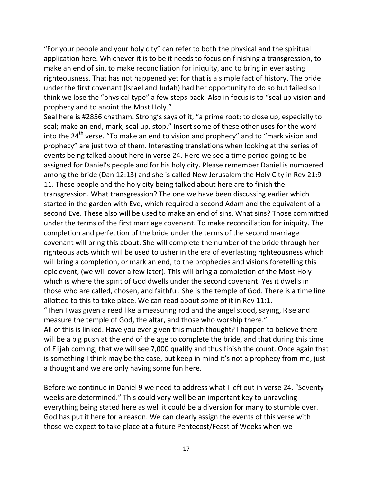"For your people and your holy city" can refer to both the physical and the spiritual application here. Whichever it is to be it needs to focus on finishing a transgression, to make an end of sin, to make reconciliation for iniquity, and to bring in everlasting righteousness. That has not happened yet for that is a simple fact of history. The bride under the first covenant (Israel and Judah) had her opportunity to do so but failed so I think we lose the "physical type" a few steps back. Also in focus is to "seal up vision and prophecy and to anoint the Most Holy."

Seal here is #2856 chatham. Strong's says of it, "a prime root; to close up, especially to seal; make an end, mark, seal up, stop." Insert some of these other uses for the word into the  $24<sup>th</sup>$  verse. "To make an end to vision and prophecy" and to "mark vision and prophecy" are just two of them. Interesting translations when looking at the series of events being talked about here in verse 24. Here we see a time period going to be assigned for Daniel's people and for his holy city. Please remember Daniel is numbered among the bride (Dan 12:13) and she is called New Jerusalem the Holy City in Rev 21:9- 11. These people and the holy city being talked about here are to finish the transgression. What transgression? The one we have been discussing earlier which started in the garden with Eve, which required a second Adam and the equivalent of a second Eve. These also will be used to make an end of sins. What sins? Those committed under the terms of the first marriage covenant. To make reconciliation for iniquity. The completion and perfection of the bride under the terms of the second marriage covenant will bring this about. She will complete the number of the bride through her righteous acts which will be used to usher in the era of everlasting righteousness which will bring a completion, or mark an end, to the prophecies and visions foretelling this epic event, (we will cover a few later). This will bring a completion of the Most Holy which is where the spirit of God dwells under the second covenant. Yes it dwells in those who are called, chosen, and faithful. She is the temple of God. There is a time line allotted to this to take place. We can read about some of it in Rev 11:1. "Then I was given a reed like a measuring rod and the angel stood, saying, Rise and measure the temple of God, the altar, and those who worship there." All of this is linked. Have you ever given this much thought? I happen to believe there will be a big push at the end of the age to complete the bride, and that during this time of Elijah coming, that we will see 7,000 qualify and thus finish the count. Once again that is something I think may be the case, but keep in mind it's not a prophecy from me, just a thought and we are only having some fun here.

Before we continue in Daniel 9 we need to address what I left out in verse 24. "Seventy weeks are determined." This could very well be an important key to unraveling everything being stated here as well it could be a diversion for many to stumble over. God has put it here for a reason. We can clearly assign the events of this verse with those we expect to take place at a future Pentecost/Feast of Weeks when we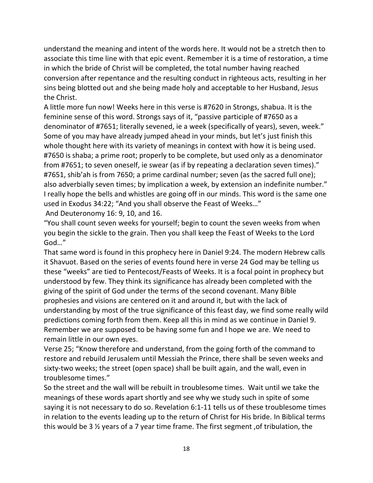understand the meaning and intent of the words here. It would not be a stretch then to associate this time line with that epic event. Remember it is a time of restoration, a time in which the bride of Christ will be completed, the total number having reached conversion after repentance and the resulting conduct in righteous acts, resulting in her sins being blotted out and she being made holy and acceptable to her Husband, Jesus the Christ.

A little more fun now! Weeks here in this verse is #7620 in Strongs, shabua. It is the feminine sense of this word. Strongs says of it, "passive participle of #7650 as a denominator of #7651; literally sevened, ie a week (specifically of years), seven, week." Some of you may have already jumped ahead in your minds, but let's just finish this whole thought here with its variety of meanings in context with how it is being used. #7650 is shaba; a prime root; properly to be complete, but used only as a denominator from #7651; to seven oneself, ie swear (as if by repeating a declaration seven times)." #7651, shib'ah is from 7650; a prime cardinal number; seven (as the sacred full one); also adverbially seven times; by implication a week, by extension an indefinite number." I really hope the bells and whistles are going off in our minds. This word is the same one used in Exodus 34:22; "And you shall observe the Feast of Weeks…"

And Deuteronomy 16: 9, 10, and 16.

"You shall count seven weeks for yourself; begin to count the seven weeks from when you begin the sickle to the grain. Then you shall keep the Feast of Weeks to the Lord God…"

That same word is found in this prophecy here in Daniel 9:24. The modern Hebrew calls it Shavuot. Based on the series of events found here in verse 24 God may be telling us these "weeks" are tied to Pentecost/Feasts of Weeks. It is a focal point in prophecy but understood by few. They think its significance has already been completed with the giving of the spirit of God under the terms of the second covenant. Many Bible prophesies and visions are centered on it and around it, but with the lack of understanding by most of the true significance of this feast day, we find some really wild predictions coming forth from them. Keep all this in mind as we continue in Daniel 9. Remember we are supposed to be having some fun and I hope we are. We need to remain little in our own eyes.

Verse 25; "Know therefore and understand, from the going forth of the command to restore and rebuild Jerusalem until Messiah the Prince, there shall be seven weeks and sixty-two weeks; the street (open space) shall be built again, and the wall, even in troublesome times."

So the street and the wall will be rebuilt in troublesome times. Wait until we take the meanings of these words apart shortly and see why we study such in spite of some saying it is not necessary to do so. Revelation 6:1-11 tells us of these troublesome times in relation to the events leading up to the return of Christ for His bride. In Biblical terms this would be 3 ½ years of a 7 year time frame. The first segment ,of tribulation, the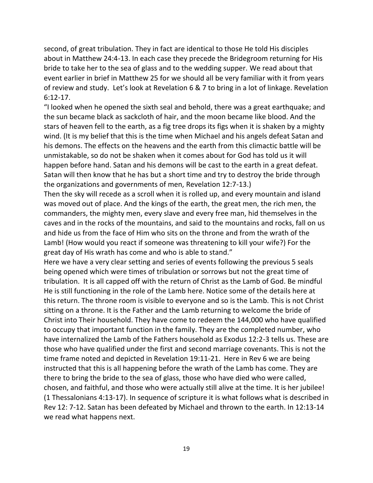second, of great tribulation. They in fact are identical to those He told His disciples about in Matthew 24:4-13. In each case they precede the Bridegroom returning for His bride to take her to the sea of glass and to the wedding supper. We read about that event earlier in brief in Matthew 25 for we should all be very familiar with it from years of review and study. Let's look at Revelation 6 & 7 to bring in a lot of linkage. Revelation 6:12-17.

"I looked when he opened the sixth seal and behold, there was a great earthquake; and the sun became black as sackcloth of hair, and the moon became like blood. And the stars of heaven fell to the earth, as a fig tree drops its figs when it is shaken by a mighty wind. (It is my belief that this is the time when Michael and his angels defeat Satan and his demons. The effects on the heavens and the earth from this climactic battle will be unmistakable, so do not be shaken when it comes about for God has told us it will happen before hand. Satan and his demons will be cast to the earth in a great defeat. Satan will then know that he has but a short time and try to destroy the bride through the organizations and governments of men, Revelation 12:7-13.)

Then the sky will recede as a scroll when it is rolled up, and every mountain and island was moved out of place. And the kings of the earth, the great men, the rich men, the commanders, the mighty men, every slave and every free man, hid themselves in the caves and in the rocks of the mountains, and said to the mountains and rocks, fall on us and hide us from the face of Him who sits on the throne and from the wrath of the Lamb! (How would you react if someone was threatening to kill your wife?) For the great day of His wrath has come and who is able to stand."

Here we have a very clear setting and series of events following the previous 5 seals being opened which were times of tribulation or sorrows but not the great time of tribulation. It is all capped off with the return of Christ as the Lamb of God. Be mindful He is still functioning in the role of the Lamb here. Notice some of the details here at this return. The throne room is visible to everyone and so is the Lamb. This is not Christ sitting on a throne. It is the Father and the Lamb returning to welcome the bride of Christ into Their household. They have come to redeem the 144,000 who have qualified to occupy that important function in the family. They are the completed number, who have internalized the Lamb of the Fathers household as Exodus 12:2-3 tells us. These are those who have qualified under the first and second marriage covenants. This is not the time frame noted and depicted in Revelation 19:11-21. Here in Rev 6 we are being instructed that this is all happening before the wrath of the Lamb has come. They are there to bring the bride to the sea of glass, those who have died who were called, chosen, and faithful, and those who were actually still alive at the time. It is her jubilee! (1 Thessalonians 4:13-17). In sequence of scripture it is what follows what is described in Rev 12: 7-12. Satan has been defeated by Michael and thrown to the earth. In 12:13-14 we read what happens next.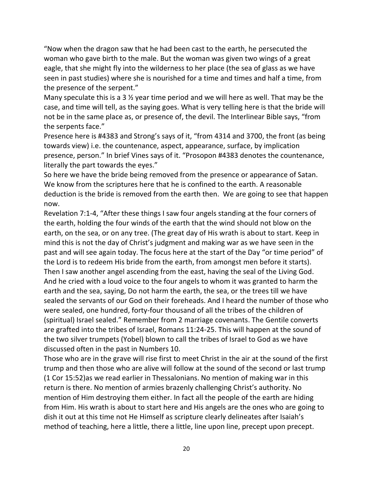"Now when the dragon saw that he had been cast to the earth, he persecuted the woman who gave birth to the male. But the woman was given two wings of a great eagle, that she might fly into the wilderness to her place (the sea of glass as we have seen in past studies) where she is nourished for a time and times and half a time, from the presence of the serpent."

Many speculate this is a 3 ½ year time period and we will here as well. That may be the case, and time will tell, as the saying goes. What is very telling here is that the bride will not be in the same place as, or presence of, the devil. The Interlinear Bible says, "from the serpents face."

Presence here is #4383 and Strong's says of it, "from 4314 and 3700, the front (as being towards view) i.e. the countenance, aspect, appearance, surface, by implication presence, person." In brief Vines says of it. "Prosopon #4383 denotes the countenance, literally the part towards the eyes."

So here we have the bride being removed from the presence or appearance of Satan. We know from the scriptures here that he is confined to the earth. A reasonable deduction is the bride is removed from the earth then. We are going to see that happen now.

Revelation 7:1-4, "After these things I saw four angels standing at the four corners of the earth, holding the four winds of the earth that the wind should not blow on the earth, on the sea, or on any tree. (The great day of His wrath is about to start. Keep in mind this is not the day of Christ's judgment and making war as we have seen in the past and will see again today. The focus here at the start of the Day "or time period" of the Lord is to redeem His bride from the earth, from amongst men before it starts). Then I saw another angel ascending from the east, having the seal of the Living God. And he cried with a loud voice to the four angels to whom it was granted to harm the earth and the sea, saying, Do not harm the earth, the sea, or the trees till we have sealed the servants of our God on their foreheads. And I heard the number of those who were sealed, one hundred, forty-four thousand of all the tribes of the children of (spiritual) Israel sealed." Remember from 2 marriage covenants. The Gentile converts are grafted into the tribes of Israel, Romans 11:24-25. This will happen at the sound of the two silver trumpets (Yobel) blown to call the tribes of Israel to God as we have discussed often in the past in Numbers 10.

Those who are in the grave will rise first to meet Christ in the air at the sound of the first trump and then those who are alive will follow at the sound of the second or last trump (1 Cor 15:52)as we read earlier in Thessalonians. No mention of making war in this return is there. No mention of armies brazenly challenging Christ's authority. No mention of Him destroying them either. In fact all the people of the earth are hiding from Him. His wrath is about to start here and His angels are the ones who are going to dish it out at this time not He Himself as scripture clearly delineates after Isaiah's method of teaching, here a little, there a little, line upon line, precept upon precept.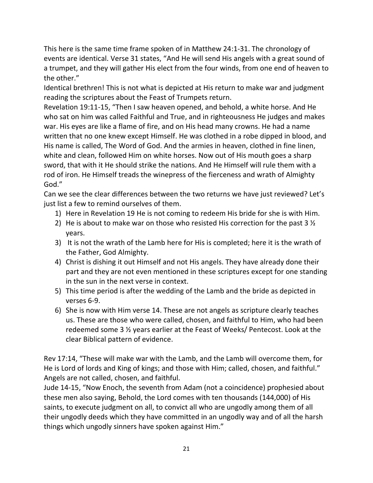This here is the same time frame spoken of in Matthew 24:1-31. The chronology of events are identical. Verse 31 states, "And He will send His angels with a great sound of a trumpet, and they will gather His elect from the four winds, from one end of heaven to the other."

Identical brethren! This is not what is depicted at His return to make war and judgment reading the scriptures about the Feast of Trumpets return.

Revelation 19:11-15, "Then I saw heaven opened, and behold, a white horse. And He who sat on him was called Faithful and True, and in righteousness He judges and makes war. His eyes are like a flame of fire, and on His head many crowns. He had a name written that no one knew except Himself. He was clothed in a robe dipped in blood, and His name is called, The Word of God. And the armies in heaven, clothed in fine linen, white and clean, followed Him on white horses. Now out of His mouth goes a sharp sword, that with it He should strike the nations. And He Himself will rule them with a rod of iron. He Himself treads the winepress of the fierceness and wrath of Almighty God."

Can we see the clear differences between the two returns we have just reviewed? Let's just list a few to remind ourselves of them.

- 1) Here in Revelation 19 He is not coming to redeem His bride for she is with Him.
- 2) He is about to make war on those who resisted His correction for the past 3  $\frac{1}{2}$ years.
- 3) It is not the wrath of the Lamb here for His is completed; here it is the wrath of the Father, God Almighty.
- 4) Christ is dishing it out Himself and not His angels. They have already done their part and they are not even mentioned in these scriptures except for one standing in the sun in the next verse in context.
- 5) This time period is after the wedding of the Lamb and the bride as depicted in verses 6-9.
- 6) She is now with Him verse 14. These are not angels as scripture clearly teaches us. These are those who were called, chosen, and faithful to Him, who had been redeemed some 3 ½ years earlier at the Feast of Weeks/ Pentecost. Look at the clear Biblical pattern of evidence.

Rev 17:14, "These will make war with the Lamb, and the Lamb will overcome them, for He is Lord of lords and King of kings; and those with Him; called, chosen, and faithful." Angels are not called, chosen, and faithful.

Jude 14-15, "Now Enoch, the seventh from Adam (not a coincidence) prophesied about these men also saying, Behold, the Lord comes with ten thousands (144,000) of His saints, to execute judgment on all, to convict all who are ungodly among them of all their ungodly deeds which they have committed in an ungodly way and of all the harsh things which ungodly sinners have spoken against Him."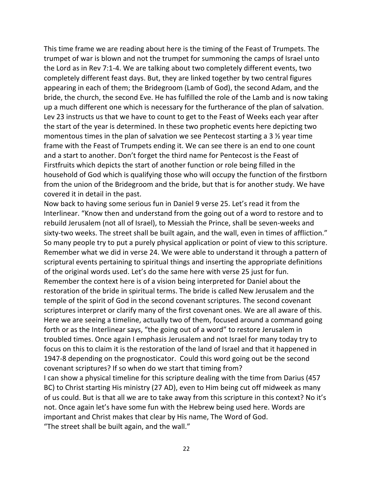This time frame we are reading about here is the timing of the Feast of Trumpets. The trumpet of war is blown and not the trumpet for summoning the camps of Israel unto the Lord as in Rev 7:1-4. We are talking about two completely different events, two completely different feast days. But, they are linked together by two central figures appearing in each of them; the Bridegroom (Lamb of God), the second Adam, and the bride, the church, the second Eve. He has fulfilled the role of the Lamb and is now taking up a much different one which is necessary for the furtherance of the plan of salvation. Lev 23 instructs us that we have to count to get to the Feast of Weeks each year after the start of the year is determined. In these two prophetic events here depicting two momentous times in the plan of salvation we see Pentecost starting a 3 ½ year time frame with the Feast of Trumpets ending it. We can see there is an end to one count and a start to another. Don't forget the third name for Pentecost is the Feast of Firstfruits which depicts the start of another function or role being filled in the household of God which is qualifying those who will occupy the function of the firstborn from the union of the Bridegroom and the bride, but that is for another study. We have covered it in detail in the past.

Now back to having some serious fun in Daniel 9 verse 25. Let's read it from the Interlinear. "Know then and understand from the going out of a word to restore and to rebuild Jerusalem (not all of Israel), to Messiah the Prince, shall be seven-weeks and sixty-two weeks. The street shall be built again, and the wall, even in times of affliction." So many people try to put a purely physical application or point of view to this scripture. Remember what we did in verse 24. We were able to understand it through a pattern of scriptural events pertaining to spiritual things and inserting the appropriate definitions of the original words used. Let's do the same here with verse 25 just for fun. Remember the context here is of a vision being interpreted for Daniel about the restoration of the bride in spiritual terms. The bride is called New Jerusalem and the temple of the spirit of God in the second covenant scriptures. The second covenant scriptures interpret or clarify many of the first covenant ones. We are all aware of this. Here we are seeing a timeline, actually two of them, focused around a command going forth or as the Interlinear says, "the going out of a word" to restore Jerusalem in troubled times. Once again I emphasis Jerusalem and not Israel for many today try to focus on this to claim it is the restoration of the land of Israel and that it happened in 1947-8 depending on the prognosticator. Could this word going out be the second covenant scriptures? If so when do we start that timing from?

I can show a physical timeline for this scripture dealing with the time from Darius (457 BC) to Christ starting His ministry (27 AD), even to Him being cut off midweek as many of us could. But is that all we are to take away from this scripture in this context? No it's not. Once again let's have some fun with the Hebrew being used here. Words are important and Christ makes that clear by His name, The Word of God. "The street shall be built again, and the wall."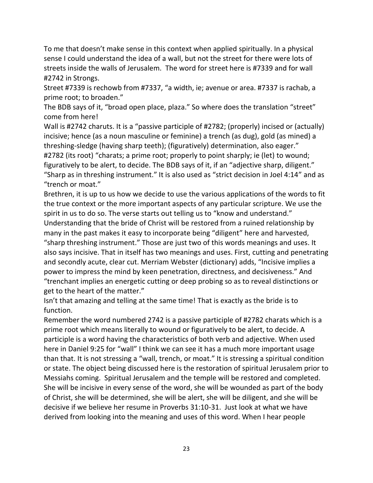To me that doesn't make sense in this context when applied spiritually. In a physical sense I could understand the idea of a wall, but not the street for there were lots of streets inside the walls of Jerusalem. The word for street here is #7339 and for wall #2742 in Strongs.

Street #7339 is rechowb from #7337, "a width, ie; avenue or area. #7337 is rachab, a prime root; to broaden."

The BDB says of it, "broad open place, plaza." So where does the translation "street" come from here!

Wall is #2742 charuts. It is a "passive participle of #2782; (properly) incised or (actually) incisive; hence (as a noun masculine or feminine) a trench (as dug), gold (as mined) a threshing-sledge (having sharp teeth); (figuratively) determination, also eager." #2782 (its root) "charats; a prime root; properly to point sharply; ie (let) to wound; figuratively to be alert, to decide. The BDB says of it, if an "adjective sharp, diligent." "Sharp as in threshing instrument." It is also used as "strict decision in Joel 4:14" and as "trench or moat."

Brethren, it is up to us how we decide to use the various applications of the words to fit the true context or the more important aspects of any particular scripture. We use the spirit in us to do so. The verse starts out telling us to "know and understand."

Understanding that the bride of Christ will be restored from a ruined relationship by many in the past makes it easy to incorporate being "diligent" here and harvested, "sharp threshing instrument." Those are just two of this words meanings and uses. It also says incisive. That in itself has two meanings and uses. First, cutting and penetrating and secondly acute, clear cut. Merriam Webster (dictionary) adds, "Incisive implies a power to impress the mind by keen penetration, directness, and decisiveness." And "trenchant implies an energetic cutting or deep probing so as to reveal distinctions or get to the heart of the matter."

Isn't that amazing and telling at the same time! That is exactly as the bride is to function.

Remember the word numbered 2742 is a passive participle of #2782 charats which is a prime root which means literally to wound or figuratively to be alert, to decide. A participle is a word having the characteristics of both verb and adjective. When used here in Daniel 9:25 for "wall" I think we can see it has a much more important usage than that. It is not stressing a "wall, trench, or moat." It is stressing a spiritual condition or state. The object being discussed here is the restoration of spiritual Jerusalem prior to Messiahs coming. Spiritual Jerusalem and the temple will be restored and completed. She will be incisive in every sense of the word, she will be wounded as part of the body of Christ, she will be determined, she will be alert, she will be diligent, and she will be decisive if we believe her resume in Proverbs 31:10-31. Just look at what we have derived from looking into the meaning and uses of this word. When I hear people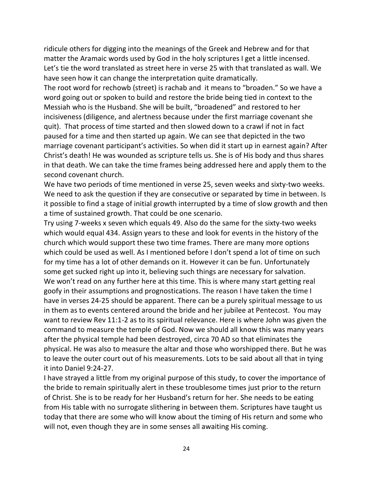ridicule others for digging into the meanings of the Greek and Hebrew and for that matter the Aramaic words used by God in the holy scriptures I get a little incensed. Let's tie the word translated as street here in verse 25 with that translated as wall. We have seen how it can change the interpretation quite dramatically.

The root word for rechowb (street) is rachab and it means to "broaden." So we have a word going out or spoken to build and restore the bride being tied in context to the Messiah who is the Husband. She will be built, "broadened" and restored to her incisiveness (diligence, and alertness because under the first marriage covenant she quit). That process of time started and then slowed down to a crawl if not in fact paused for a time and then started up again. We can see that depicted in the two marriage covenant participant's activities. So when did it start up in earnest again? After Christ's death! He was wounded as scripture tells us. She is of His body and thus shares in that death. We can take the time frames being addressed here and apply them to the second covenant church.

We have two periods of time mentioned in verse 25, seven weeks and sixty-two weeks. We need to ask the question if they are consecutive or separated by time in between. Is it possible to find a stage of initial growth interrupted by a time of slow growth and then a time of sustained growth. That could be one scenario.

Try using 7-weeks x seven which equals 49. Also do the same for the sixty-two weeks which would equal 434. Assign years to these and look for events in the history of the church which would support these two time frames. There are many more options which could be used as well. As I mentioned before I don't spend a lot of time on such for my time has a lot of other demands on it. However it can be fun. Unfortunately some get sucked right up into it, believing such things are necessary for salvation. We won't read on any further here at this time. This is where many start getting real goofy in their assumptions and prognostications. The reason I have taken the time I have in verses 24-25 should be apparent. There can be a purely spiritual message to us in them as to events centered around the bride and her jubilee at Pentecost. You may want to review Rev 11:1-2 as to its spiritual relevance. Here is where John was given the command to measure the temple of God. Now we should all know this was many years after the physical temple had been destroyed, circa 70 AD so that eliminates the physical. He was also to measure the altar and those who worshipped there. But he was to leave the outer court out of his measurements. Lots to be said about all that in tying it into Daniel 9:24-27.

I have strayed a little from my original purpose of this study, to cover the importance of the bride to remain spiritually alert in these troublesome times just prior to the return of Christ. She is to be ready for her Husband's return for her. She needs to be eating from His table with no surrogate slithering in between them. Scriptures have taught us today that there are some who will know about the timing of His return and some who will not, even though they are in some senses all awaiting His coming.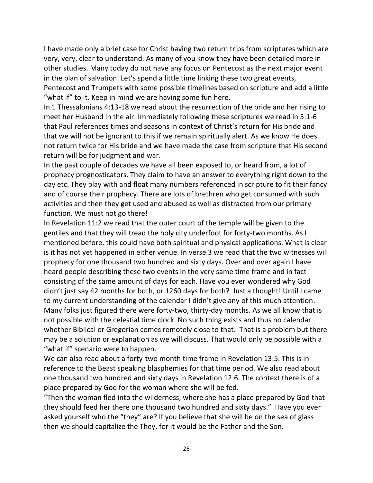I have made only a brief case for Christ having two return trips from scriptures which are very, very, clear to understand. As many of you know they have been detailed more in other studies. Many today do not have any focus on Pentecost as the next major event in the plan of salvation. Let's spend a little time linking these two great events, Pentecost and Trumpets with some possible timelines based on scripture and add a little "what if" to it. Keep in mind we are having some fun here.

In 1 Thessalonians 4:13-18 we read about the resurrection of the bride and her rising to meet her Husband in the air. Immediately following these scriptures we read in 5:1-6 that Paul references times and seasons in context of Christ's return for His bride and that we will not be ignorant to this if we remain spiritually alert. As we know He does not return twice for His bride and we have made the case from scripture that His second return will be for judgment and war.

In the past couple of decades we have all been exposed to, or heard from, a lot of prophecy prognosticators. They claim to have an answer to everything right down to the day etc. They play with and float many numbers referenced in scripture to fit their fancy and of course their prophecy. There are lots of brethren who get consumed with such activities and then they get used and abused as well as distracted from our primary function. We must not go there!

In Revelation 11:2 we read that the outer court of the temple will be given to the gentiles and that they will tread the holy city underfoot for forty-two months. As I mentioned before, this could have both spiritual and physical applications. What is clear is it has not yet happened in either venue. In verse 3 we read that the two witnesses will prophecy for one thousand two hundred and sixty days. Over and over again I have heard people describing these two events in the very same time frame and in fact consisting of the same amount of days for each. Have you ever wondered why God didn't just say 42 months for both, or 1260 days for both? Just a thought! Until I came to my current understanding of the calendar I didn't give any of this much attention. Many folks just figured there were forty-two, thirty-day months. As we all know that is not possible with the celestial time clock. No such thing exists and thus no calendar whether Biblical or Gregorian comes remotely close to that. That is a problem but there may be a solution or explanation as we will discuss. That would only be possible with a "what if" scenario were to happen.

We can also read about a forty-two month time frame in Revelation 13:5. This is in reference to the Beast speaking blasphemies for that time period. We also read about one thousand two hundred and sixty days in Revelation 12:6. The context there is of a place prepared by God for the woman where she will be fed.

"Then the woman fled into the wilderness, where she has a place prepared by God that they should feed her there one thousand two hundred and sixty days." Have you ever asked yourself who the "they" are? If you believe that she will be on the sea of glass then we should capitalize the They, for it would be the Father and the Son.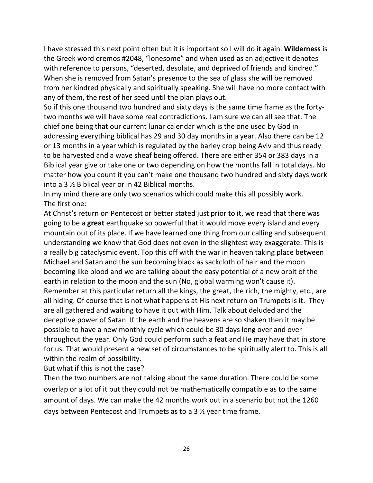I have stressed this next point often but it is important so I will do it again. **Wilderness** is the Greek word eremos #2048, "lonesome" and when used as an adjective it denotes with reference to persons, "deserted, desolate, and deprived of friends and kindred." When she is removed from Satan's presence to the sea of glass she will be removed from her kindred physically and spiritually speaking. She will have no more contact with any of them, the rest of her seed until the plan plays out.

So if this one thousand two hundred and sixty days is the same time frame as the fortytwo months we will have some real contradictions. I am sure we can all see that. The chief one being that our current lunar calendar which is the one used by God in addressing everything biblical has 29 and 30 day months in a year. Also there can be 12 or 13 months in a year which is regulated by the barley crop being Aviv and thus ready to be harvested and a wave sheaf being offered. There are either 354 or 383 days in a Biblical year give or take one or two depending on how the months fall in total days. No matter how you count it you can't make one thousand two hundred and sixty days work into a 3 ½ Biblical year or in 42 Biblical months.

In my mind there are only two scenarios which could make this all possibly work. The first one:

At Christ's return on Pentecost or better stated just prior to it, we read that there was going to be a **great** earthquake so powerful that it would move every island and every mountain out of its place. If we have learned one thing from our calling and subsequent understanding we know that God does not even in the slightest way exaggerate. This is a really big cataclysmic event. Top this off with the war in heaven taking place between Michael and Satan and the sun becoming black as sackcloth of hair and the moon becoming like blood and we are talking about the easy potential of a new orbit of the earth in relation to the moon and the sun (No, global warming won't cause it). Remember at this particular return all the kings, the great, the rich, the mighty, etc., are all hiding. Of course that is not what happens at His next return on Trumpets is it. They are all gathered and waiting to have it out with Him. Talk about deluded and the deceptive power of Satan. If the earth and the heavens are so shaken then it may be possible to have a new monthly cycle which could be 30 days long over and over throughout the year. Only God could perform such a feat and He may have that in store for us. That would present a new set of circumstances to be spiritually alert to. This is all within the realm of possibility.

But what if this is not the case?

Then the two numbers are not talking about the same duration. There could be some overlap or a lot of it but they could not be mathematically compatible as to the same amount of days. We can make the 42 months work out in a scenario but not the 1260 days between Pentecost and Trumpets as to a 3 ½ year time frame.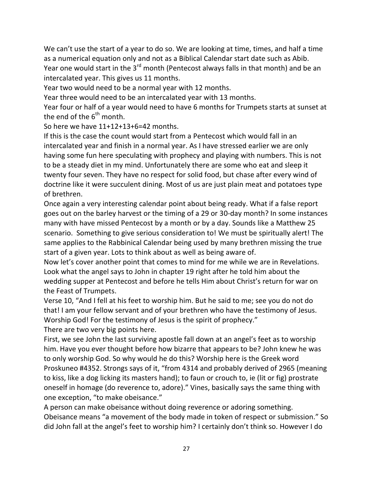We can't use the start of a year to do so. We are looking at time, times, and half a time as a numerical equation only and not as a Biblical Calendar start date such as Abib. Year one would start in the  $3<sup>rd</sup>$  month (Pentecost always falls in that month) and be an intercalated year. This gives us 11 months.

Year two would need to be a normal year with 12 months.

Year three would need to be an intercalated year with 13 months.

Year four or half of a year would need to have 6 months for Trumpets starts at sunset at the end of the  $6<sup>th</sup>$  month.

So here we have 11+12+13+6=42 months.

If this is the case the count would start from a Pentecost which would fall in an intercalated year and finish in a normal year. As I have stressed earlier we are only having some fun here speculating with prophecy and playing with numbers. This is not to be a steady diet in my mind. Unfortunately there are some who eat and sleep it twenty four seven. They have no respect for solid food, but chase after every wind of doctrine like it were succulent dining. Most of us are just plain meat and potatoes type of brethren.

Once again a very interesting calendar point about being ready. What if a false report goes out on the barley harvest or the timing of a 29 or 30-day month? In some instances many with have missed Pentecost by a month or by a day. Sounds like a Matthew 25 scenario. Something to give serious consideration to! We must be spiritually alert! The same applies to the Rabbinical Calendar being used by many brethren missing the true start of a given year. Lots to think about as well as being aware of.

Now let's cover another point that comes to mind for me while we are in Revelations. Look what the angel says to John in chapter 19 right after he told him about the wedding supper at Pentecost and before he tells Him about Christ's return for war on the Feast of Trumpets.

Verse 10, "And I fell at his feet to worship him. But he said to me; see you do not do that! I am your fellow servant and of your brethren who have the testimony of Jesus. Worship God! For the testimony of Jesus is the spirit of prophecy."

There are two very big points here.

First, we see John the last surviving apostle fall down at an angel's feet as to worship him. Have you ever thought before how bizarre that appears to be? John knew he was to only worship God. So why would he do this? Worship here is the Greek word Proskuneo #4352. Strongs says of it, "from 4314 and probably derived of 2965 (meaning to kiss, like a dog licking its masters hand); to faun or crouch to, ie (lit or fig) prostrate oneself in homage (do reverence to, adore)." Vines, basically says the same thing with one exception, "to make obeisance."

A person can make obeisance without doing reverence or adoring something. Obeisance means "a movement of the body made in token of respect or submission." So did John fall at the angel's feet to worship him? I certainly don't think so. However I do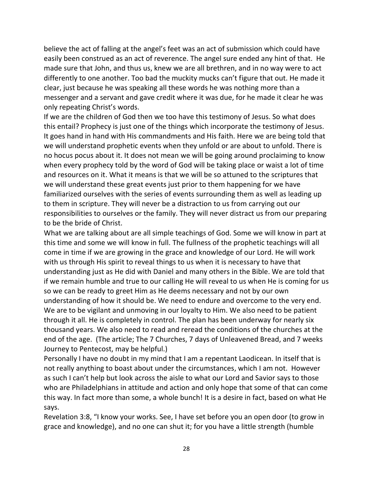believe the act of falling at the angel's feet was an act of submission which could have easily been construed as an act of reverence. The angel sure ended any hint of that. He made sure that John, and thus us, knew we are all brethren, and in no way were to act differently to one another. Too bad the muckity mucks can't figure that out. He made it clear, just because he was speaking all these words he was nothing more than a messenger and a servant and gave credit where it was due, for he made it clear he was only repeating Christ's words.

If we are the children of God then we too have this testimony of Jesus. So what does this entail? Prophecy is just one of the things which incorporate the testimony of Jesus. It goes hand in hand with His commandments and His faith. Here we are being told that we will understand prophetic events when they unfold or are about to unfold. There is no hocus pocus about it. It does not mean we will be going around proclaiming to know when every prophecy told by the word of God will be taking place or waist a lot of time and resources on it. What it means is that we will be so attuned to the scriptures that we will understand these great events just prior to them happening for we have familiarized ourselves with the series of events surrounding them as well as leading up to them in scripture. They will never be a distraction to us from carrying out our responsibilities to ourselves or the family. They will never distract us from our preparing to be the bride of Christ.

What we are talking about are all simple teachings of God. Some we will know in part at this time and some we will know in full. The fullness of the prophetic teachings will all come in time if we are growing in the grace and knowledge of our Lord. He will work with us through His spirit to reveal things to us when it is necessary to have that understanding just as He did with Daniel and many others in the Bible. We are told that if we remain humble and true to our calling He will reveal to us when He is coming for us so we can be ready to greet Him as He deems necessary and not by our own understanding of how it should be. We need to endure and overcome to the very end. We are to be vigilant and unmoving in our loyalty to Him. We also need to be patient through it all. He is completely in control. The plan has been underway for nearly six thousand years. We also need to read and reread the conditions of the churches at the end of the age. (The article; The 7 Churches, 7 days of Unleavened Bread, and 7 weeks Journey to Pentecost, may be helpful.)

Personally I have no doubt in my mind that I am a repentant Laodicean. In itself that is not really anything to boast about under the circumstances, which I am not. However as such I can't help but look across the aisle to what our Lord and Savior says to those who are Philadelphians in attitude and action and only hope that some of that can come this way. In fact more than some, a whole bunch! It is a desire in fact, based on what He says.

Revelation 3:8, "I know your works. See, I have set before you an open door (to grow in grace and knowledge), and no one can shut it; for you have a little strength (humble